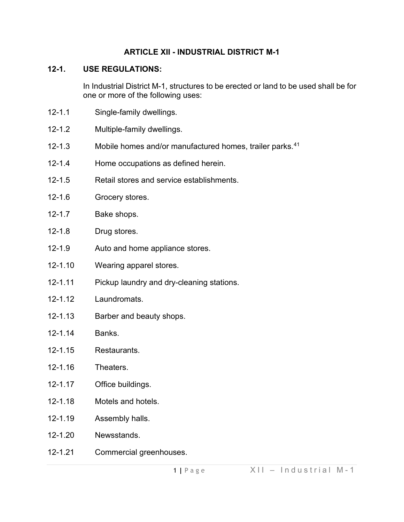## **ARTICLE XII - INDUSTRIAL DISTRICT M-1**

# **12-1. USE REGULATIONS:**

In Industrial District M-1, structures to be erected or land to be used shall be for one or more of the following uses:

- 12-1.1 Single-family dwellings.
- 12-1.2 Multiple-family dwellings.
- 12-1.3 Mobile homes and/or manufactured homes, trailer parks.<sup>[41](#page-7-0)</sup>
- 12-1.4 Home occupations as defined herein.
- 12-1.5 Retail stores and service establishments.
- 12-1.6 Grocery stores.
- 12-1.7 Bake shops.
- 12-1.8 Drug stores.
- 12-1.9 Auto and home appliance stores.
- 12-1.10 Wearing apparel stores.
- 12-1.11 Pickup laundry and dry-cleaning stations.
- 12-1.12 Laundromats.
- 12-1.13 Barber and beauty shops.
- 12-1.14 Banks.
- 12-1.15 Restaurants.
- 12-1.16 Theaters.
- 12-1.17 Office buildings.
- 12-1.18 Motels and hotels.
- 12-1.19 Assembly halls.
- 12-1.20 Newsstands.
- 12-1.21 Commercial greenhouses.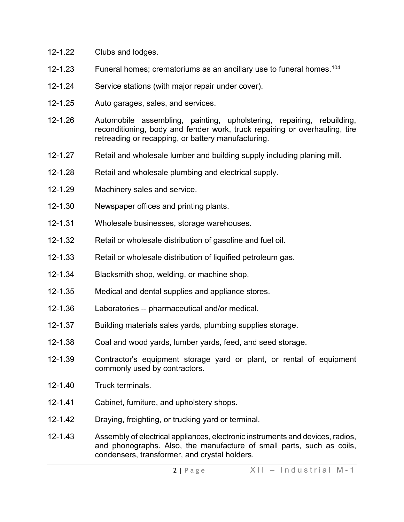- 12-1.22 Clubs and lodges.
- 12-1.23 Funeral homes; crematoriums as an ancillary use to funeral homes.<sup>[104](#page-7-1)</sup>
- 12-1.24 Service stations (with major repair under cover).
- 12-1.25 Auto garages, sales, and services.
- 12-1.26 Automobile assembling, painting, upholstering, repairing, rebuilding, reconditioning, body and fender work, truck repairing or overhauling, tire retreading or recapping, or battery manufacturing.
- 12-1.27 Retail and wholesale lumber and building supply including planing mill.
- 12-1.28 Retail and wholesale plumbing and electrical supply.
- 12-1.29 Machinery sales and service.
- 12-1.30 Newspaper offices and printing plants.
- 12-1.31 Wholesale businesses, storage warehouses.
- 12-1.32 Retail or wholesale distribution of gasoline and fuel oil.
- 12-1.33 Retail or wholesale distribution of liquified petroleum gas.
- 12-1.34 Blacksmith shop, welding, or machine shop.
- 12-1.35 Medical and dental supplies and appliance stores.
- 12-1.36 Laboratories -- pharmaceutical and/or medical.
- 12-1.37 Building materials sales yards, plumbing supplies storage.
- 12-1.38 Coal and wood yards, lumber yards, feed, and seed storage.
- 12-1.39 Contractor's equipment storage yard or plant, or rental of equipment commonly used by contractors.
- 12-1.40 Truck terminals.
- 12-1.41 Cabinet, furniture, and upholstery shops.
- 12-1.42 Draying, freighting, or trucking yard or terminal.
- 12-1.43 Assembly of electrical appliances, electronic instruments and devices, radios, and phonographs. Also, the manufacture of small parts, such as coils, condensers, transformer, and crystal holders.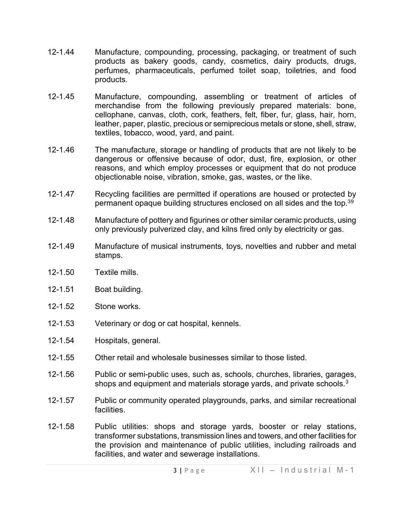- 12-1.44 Manufacture, compounding, processing, packaging, or treatment of such products as bakery goods, candy, cosmetics, dairy products, drugs, perfumes, pharmaceuticals, perfumed toilet soap, toiletries, and food products.
- 12-1.45 Manufacture, compounding, assembling or treatment of articles of merchandise from the following previously prepared materials: bone, cellophane, canvas, cloth, cork, feathers, felt, fiber, fur, glass, hair, horn, leather, paper, plastic, precious or semiprecious metals or stone, shell, straw, textiles, tobacco, wood, yard, and paint.
- 12-1.46 The manufacture, storage or handling of products that are not likely to be dangerous or offensive because of odor, dust, fire, explosion, or other reasons, and which employ processes or equipment that do not produce objectionable noise, vibration, smoke, gas, wastes, or the like.
- 12-1.47 Recycling facilities are permitted if operations are housed or protected by permanent opaque building structures enclosed on all sides and the top.<sup>3[9](#page-7-2)</sup>
- 12-1.48 Manufacture of pottery and figurines or other similar ceramic products, using only previously pulverized clay, and kilns fired only by electricity or gas.
- 12-1.49 Manufacture of musical instruments, toys, novelties and rubber and metal stamps.
- 12-1.50 Textile mills.
- 12-1.51 Boat building.
- 12-1.52 Stone works.
- 12-1.53 Veterinary or dog or cat hospital, kennels.
- 12-1.54 Hospitals, general.
- 12-1.55 Other retail and wholesale businesses similar to those listed.
- 12-1.56 Public or semi-public uses, such as, schools, churches, libraries, garages, shops and equipment and materials storage yards, and private schools.<sup>[3](#page-7-3)</sup>
- 12-1.57 Public or community operated playgrounds, parks, and similar recreational facilities.
- 12-1.58 Public utilities: shops and storage yards, booster or relay stations, transformer substations, transmission lines and towers, and other facilities for the provision and maintenance of public utilities, including railroads and facilities, and water and sewerage installations.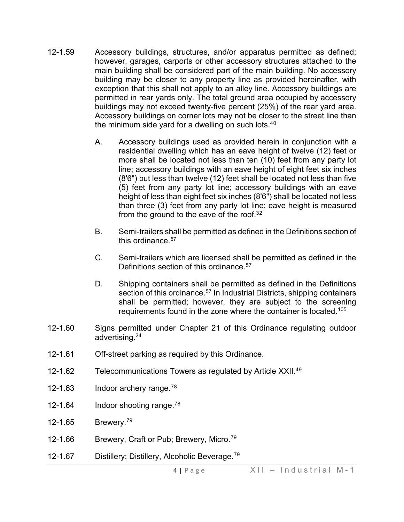- 12-1.59 Accessory buildings, structures, and/or apparatus permitted as defined; however, garages, carports or other accessory structures attached to the main building shall be considered part of the main building. No accessory building may be closer to any property line as provided hereinafter, with exception that this shall not apply to an alley line. Accessory buildings are permitted in rear yards only. The total ground area occupied by accessory buildings may not exceed twenty-five percent (25%) of the rear yard area. Accessory buildings on corner lots may not be closer to the street line than the minimum side yard for a dwelling on such lots.4[0](#page-7-4)
	- A. Accessory buildings used as provided herein in conjunction with a residential dwelling which has an eave height of twelve (12) feet or more shall be located not less than ten (10) feet from any party lot line; accessory buildings with an eave height of eight feet six inches (8'6") but less than twelve (12) feet shall be located not less than five (5) feet from any party lot line; accessory buildings with an eave height of less than eight feet six inches (8'6") shall be located not less than three (3) feet from any party lot line; eave height is measured from the ground to the eave of the roof. $32$  $32$
	- B. Semi-trailers shall be permitted as defined in the Definitions section of this ordinance  $57$
	- C. Semi-trailers which are licensed shall be permitted as defined in the Definitions section of this ordinance.<sup>[57](#page-7-7)</sup>
	- D. Shipping containers shall be permitted as defined in the Definitions section of this ordinance.<sup>[57](#page-7-8)</sup> In Industrial Districts, shipping containers shall be permitted; however, they are subject to the screening requirements found in the zone where the container is located.[105](#page-7-9)
- 12-1.60 Signs permitted under Chapter 21 of this Ordinance regulating outdoor advertising.2[4](#page-7-10)
- 12-1.61 Off-street parking as required by this Ordinance.
- 12-1.62 Telecommunications Towers as regulated by Article XXII.4[9](#page-7-11)
- 12-1.63 Indoor archery range.<sup>[78](#page-7-12)</sup>
- 12-1.64 Indoor shooting range.<sup>[78](#page-7-13)</sup>
- 12-1.65 Brewery.<sup>[79](#page-7-14)</sup>
- 12-1.66 Brewery, Craft or Pub; Brewery, Micro. [79](#page-7-15)
- 12-1.67 Distillery; Distillery, Alcoholic Beverage. [79](#page-7-16)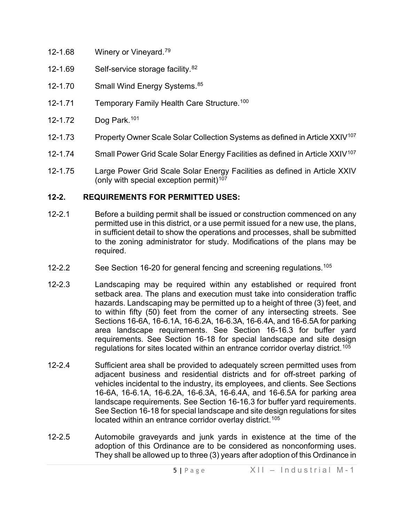- 12-1.68 Winery or Vineyard. [79](#page-7-17)
- 12-1.69 Self-service storage facility.<sup>[82](#page-7-18)</sup>
- 12-1.70 Small Wind Energy Systems.<sup>[85](#page-7-19)</sup>
- 12-1.71 Temporary Family Health Care Structure.<sup>[100](#page-7-20)</sup>
- 12-1.72 Dog Park. [101](#page-7-21)
- 12-1.73 Property Owner Scale Solar Collection Systems as defined in Article XXIV<sup>[107](#page-7-22)</sup>
- 12-1.74 Small Power Grid Scale Solar Energy Facilities as defined in Article XXIV<sup>[107](#page-7-23)</sup>
- 12-1.75 Large Power Grid Scale Solar Energy Facilities as defined in Article XXIV (only with special exception permit)<sup>[107](#page-7-24)</sup>

## **12-2. REQUIREMENTS FOR PERMITTED USES:**

- 12-2.1 Before a building permit shall be issued or construction commenced on any permitted use in this district, or a use permit issued for a new use, the plans, in sufficient detail to show the operations and processes, shall be submitted to the zoning administrator for study. Modifications of the plans may be required.
- 12-2.2 See Section 16-20 for general fencing and screening regulations.<sup>[105](#page-7-25)</sup>
- 12-2.3 Landscaping may be required within any established or required front setback area. The plans and execution must take into consideration traffic hazards. Landscaping may be permitted up to a height of three (3) feet, and to within fifty (50) feet from the corner of any intersecting streets. See Sections 16-6A, 16-6.1A, 16-6.2A, 16-6.3A, 16-6.4A, and 16-6.5A for parking area landscape requirements. See Section 16-16.3 for buffer yard requirements. See Section 16-18 for special landscape and site design regulations for sites located within an entrance corridor overlay district.<sup>[105](#page-7-26)</sup>
- 12-2.4 Sufficient area shall be provided to adequately screen permitted uses from adjacent business and residential districts and for off-street parking of vehicles incidental to the industry, its employees, and clients. See Sections 16-6A, 16-6.1A, 16-6.2A, 16-6.3A, 16-6.4A, and 16-6.5A for parking area landscape requirements. See Section 16-16.3 for buffer yard requirements. See Section 16-18 for special landscape and site design regulations for sites located within an entrance corridor overlay district.<sup>[105](#page-7-27)</sup>
- 12-2.5 Automobile graveyards and junk yards in existence at the time of the adoption of this Ordinance are to be considered as nonconforming uses. They shall be allowed up to three (3) years after adoption of this Ordinance in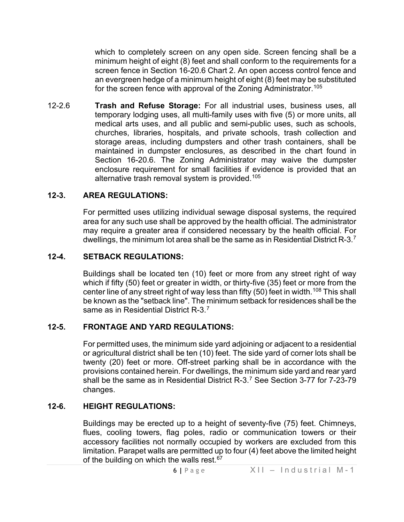which to completely screen on any open side. Screen fencing shall be a minimum height of eight (8) feet and shall conform to the requirements for a screen fence in Section 16-20.6 Chart 2. An open access control fence and an evergreen hedge of a minimum height of eight (8) feet may be substituted for the screen fence with approval of the Zoning Administrator.<sup>[105](#page-7-28)</sup>

12-2.6 **Trash and Refuse Storage:** For all industrial uses, business uses, all temporary lodging uses, all multi-family uses with five (5) or more units, all medical arts uses, and all public and semi-public uses, such as schools, churches, libraries, hospitals, and private schools, trash collection and storage areas, including dumpsters and other trash containers, shall be maintained in dumpster enclosures, as described in the chart found in Section 16-20.6. The Zoning Administrator may waive the dumpster enclosure requirement for small facilities if evidence is provided that an alternative trash removal system is provided.[105](#page-7-29)

## **12-3. AREA REGULATIONS:**

For permitted uses utilizing individual sewage disposal systems, the required area for any such use shall be approved by the health official. The administrator may require a greater area if considered necessary by the health official. For dwellings, the minimum lot area shall be the same as in Residential District R-3.[7](#page-7-30)

#### **12-4. SETBACK REGULATIONS:**

Buildings shall be located ten (10) feet or more from any street right of way which if fifty (50) feet or greater in width, or thirty-five (35) feet or more from the center line of any street right of way less than fifty (50) feet in width.<sup>[108](#page-7-31)</sup> This shall be known as the "setback line". The minimum setback for residences shall be the same as in Residential District R-3.[7](#page-7-32)

#### **12-5. FRONTAGE AND YARD REGULATIONS:**

For permitted uses, the minimum side yard adjoining or adjacent to a residential or agricultural district shall be ten (10) feet. The side yard of corner lots shall be twenty (20) feet or more. Off-street parking shall be in accordance with the provisions contained herein. For dwellings, the minimum side yard and rear yard shall be the same as in Residential District R-3.[7](#page-7-33) See Section 3-77 for 7-23-79 changes.

# **12-6. HEIGHT REGULATIONS:**

Buildings may be erected up to a height of seventy-five (75) feet. Chimneys, flues, cooling towers, flag poles, radio or communication towers or their accessory facilities not normally occupied by workers are excluded from this limitation. Parapet walls are permitted up to four (4) feet above the limited height of the building on which the walls rest. $67$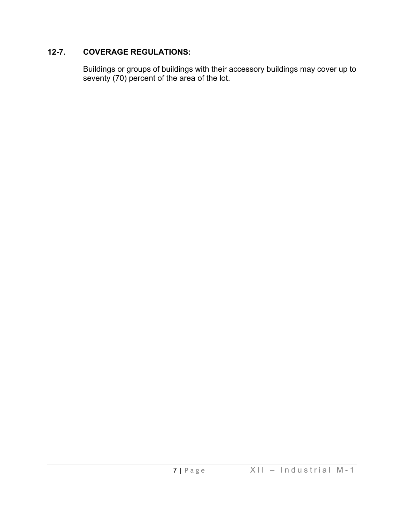# **12-7. COVERAGE REGULATIONS:**

Buildings or groups of buildings with their accessory buildings may cover up to seventy (70) percent of the area of the lot.